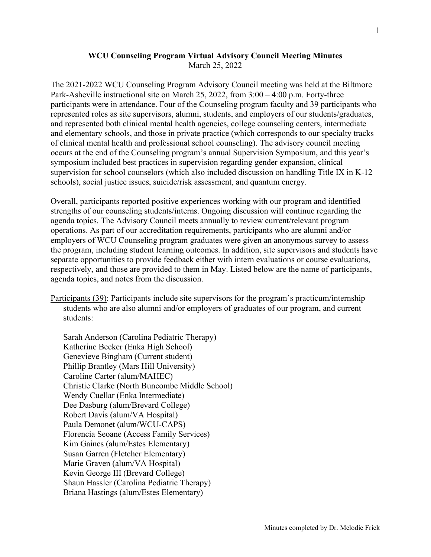## WCU Counseling Program Virtual Advisory Council Meeting Minutes March 25, 2022

The 2021-2022 WCU Counseling Program Advisory Council meeting was held at the Biltmore Park-Asheville instructional site on March 25, 2022, from 3:00 – 4:00 p.m. Forty-three participants were in attendance. Four of the Counseling program faculty and 39 participants who represented roles as site supervisors, alumni, students, and employers of our students/graduates, and represented both clinical mental health agencies, college counseling centers, intermediate and elementary schools, and those in private practice (which corresponds to our specialty tracks of clinical mental health and professional school counseling). The advisory council meeting occurs at the end of the Counseling program's annual Supervision Symposium, and this year's symposium included best practices in supervision regarding gender expansion, clinical supervision for school counselors (which also included discussion on handling Title IX in K-12 schools), social justice issues, suicide/risk assessment, and quantum energy.

Overall, participants reported positive experiences working with our program and identified strengths of our counseling students/interns. Ongoing discussion will continue regarding the agenda topics. The Advisory Council meets annually to review current/relevant program operations. As part of our accreditation requirements, participants who are alumni and/or employers of WCU Counseling program graduates were given an anonymous survey to assess the program, including student learning outcomes. In addition, site supervisors and students have separate opportunities to provide feedback either with intern evaluations or course evaluations, respectively, and those are provided to them in May. Listed below are the name of participants, agenda topics, and notes from the discussion.

Participants (39): Participants include site supervisors for the program's practicum/internship students who are also alumni and/or employers of graduates of our program, and current students:

Sarah Anderson (Carolina Pediatric Therapy) Katherine Becker (Enka High School) Genevieve Bingham (Current student) Phillip Brantley (Mars Hill University) Caroline Carter (alum/MAHEC) Christie Clarke (North Buncombe Middle School) Wendy Cuellar (Enka Intermediate) Dee Dasburg (alum/Brevard College) Robert Davis (alum/VA Hospital) Paula Demonet (alum/WCU-CAPS) Florencia Seoane (Access Family Services) Kim Gaines (alum/Estes Elementary) Susan Garren (Fletcher Elementary) Marie Graven (alum/VA Hospital) Kevin George III (Brevard College) Shaun Hassler (Carolina Pediatric Therapy) Briana Hastings (alum/Estes Elementary)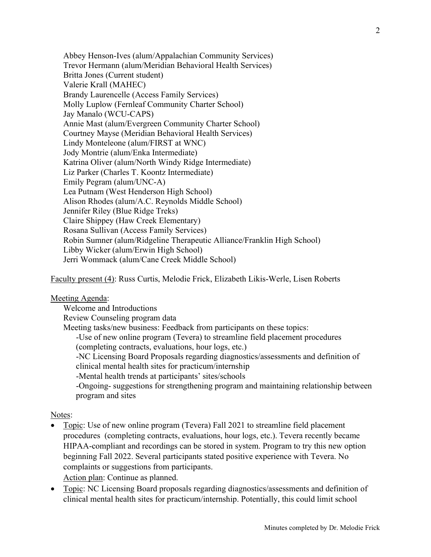Abbey Henson-Ives (alum/Appalachian Community Services) Trevor Hermann (alum/Meridian Behavioral Health Services) Britta Jones (Current student) Valerie Krall (MAHEC) Brandy Laurencelle (Access Family Services) Molly Luplow (Fernleaf Community Charter School) Jay Manalo (WCU-CAPS) Annie Mast (alum/Evergreen Community Charter School) Courtney Mayse (Meridian Behavioral Health Services) Lindy Monteleone (alum/FIRST at WNC) Jody Montrie (alum/Enka Intermediate) Katrina Oliver (alum/North Windy Ridge Intermediate) Liz Parker (Charles T. Koontz Intermediate) Emily Pegram (alum/UNC-A) Lea Putnam (West Henderson High School) Alison Rhodes (alum/A.C. Reynolds Middle School) Jennifer Riley (Blue Ridge Treks) Claire Shippey (Haw Creek Elementary) Rosana Sullivan (Access Family Services) Robin Sumner (alum/Ridgeline Therapeutic Alliance/Franklin High School) Libby Wicker (alum/Erwin High School) Jerri Wommack (alum/Cane Creek Middle School)

Faculty present (4): Russ Curtis, Melodie Frick, Elizabeth Likis-Werle, Lisen Roberts

## Meeting Agenda:

Welcome and Introductions Review Counseling program data Meeting tasks/new business: Feedback from participants on these topics: -Use of new online program (Tevera) to streamline field placement procedures (completing contracts, evaluations, hour logs, etc.) -NC Licensing Board Proposals regarding diagnostics/assessments and definition of clinical mental health sites for practicum/internship -Mental health trends at participants' sites/schools -Ongoing- suggestions for strengthening program and maintaining relationship between program and sites

## Notes:

- Topic: Use of new online program (Tevera) Fall 2021 to streamline field placement procedures (completing contracts, evaluations, hour logs, etc.). Tevera recently became HIPAA-compliant and recordings can be stored in system. Program to try this new option beginning Fall 2022. Several participants stated positive experience with Tevera. No complaints or suggestions from participants. Action plan: Continue as planned.
- Topic: NC Licensing Board proposals regarding diagnostics/assessments and definition of clinical mental health sites for practicum/internship. Potentially, this could limit school